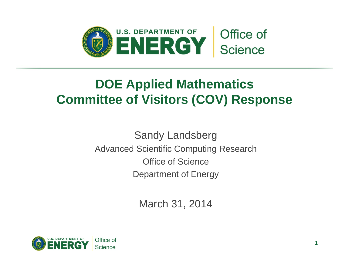

## **DOE Applied Mathematics Committee of Visitors (COV) Response**

Sandy Landsberg Advanced Scientific Computing Research Office of Science Department of Energy

March 31, 2014

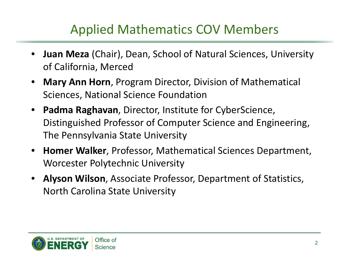## Applied Mathematics COV Members

- **Juan Meza** (Chair), Dean, School of Natural Sciences, University of California, Merced
- **Mary Ann Horn**, Program Director, Division of Mathematical Sciences, National Science Foundation
- **Padma Raghavan**, Director, Institute for CyberScience, Distinguished Professor of Computer Science and Engineering, The Pennsylvania State University
- **Homer Walker**, Professor, Mathematical Sciences Department, Worcester Polytechnic University
- **Alyson Wilson**, Associate Professor, Department of Statistics, North Carolina State University

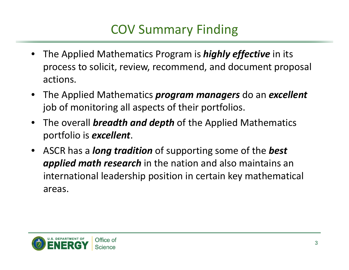# COV Summary Finding

- The Applied Mathematics Program is *highly effective* in its process to solicit, review, recommend, and document proposal actions.
- The Applied Mathematics *program managers* do an *excellent* job of monitoring all aspects of their portfolios.
- The overall *breadth and depth* of the Applied Mathematics portfolio is *excellent*.
- ASCR has <sup>a</sup> *long tradition* of supporting some of the *best applied math research* in the nation and also maintains an international leadership position in certain key mathematical areas.

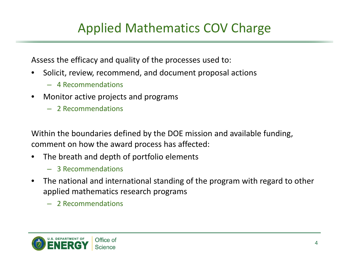## Applied Mathematics COV Charge

Assess the efficacy and quality of the processes used to:

- Solicit, review, recommend, and document proposal actions
	- 4 Recommendations
- Monitor active projects and programs
	- 2 Recommendations

Within the boundaries defined by the DOE mission and available funding, comment on how the award process has affected:

- The breath and depth of portfolio elements
	- 3 Recommendations
- The national and international standing of the program with regard to other applied mathematics research programs
	- 2 Recommendations

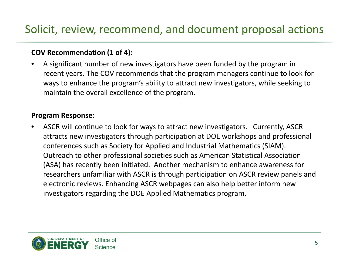### Solicit, review, recommend, and document proposal actions

### **COV Recommendation (1 of 4):**

• A significant number of new investigators have been funded by the program in recent years. The COV recommends that the program managers continue to look for ways to enhance the program's ability to attract new investigators, while seeking to maintain the overall excellence of the program.

### **Program Response:**

• ASCR will continue to look for ways to attract new investigators. Currently, ASCR attracts new investigators through participation at DOE workshops and professional conferences such as Society for Applied and Industrial Mathematics (SIAM). Outreach to other professional societies such as American Statistical Association (ASA) has recently been initiated. Another mechanism to enhance awareness for researchers unfamiliar with ASCR is through participation on ASCR review panels and electronic reviews. Enhancing ASCR webpages can also help better inform new investigators regarding the DOE Applied Mathematics program.

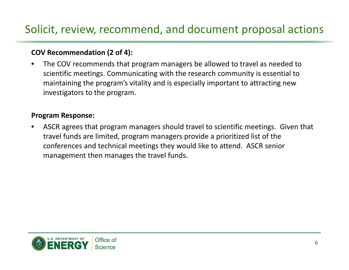### Solicit, review, recommend, and document proposal actions

### **COV Recommendation (2 of 4):**

• The COV recommends that program managers be allowed to travel as needed to scientific meetings. Communicating with the research community is essential to maintaining the program's vitality and is especially important to attracting new investigators to the program.

#### **Program Response:**

• ASCR agrees that program managers should travel to scientific meetings. Given that travel funds are limited, program managers provide <sup>a</sup> prioritized list of the conferences and technical meetings they would like to attend. ASCR senior management then manages the travel funds.

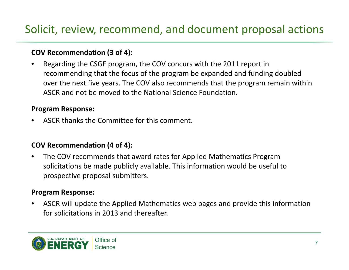## Solicit, review, recommend, and document proposal actions

### **COV Recommendation (3 of 4):**

• Regarding the CSGF program, the COV concurs with the 2011 report in recommending that the focus of the program be expanded and funding doubled over the next five years. The COV also recommends that the program remain within ASCR and not be moved to the National Science Foundation.

### **Program Response:**

• ASCR thanks the Committee for this comment.

### **COV Recommendation (4 of 4):**

• The COV recommends that award rates for Applied Mathematics Program solicitations be made publicly available. This information would be useful to prospective proposal submitters.

### **Program Response:**

• ASCR will update the Applied Mathematics web pages and provide this information for solicitations in 2013 and thereafter.

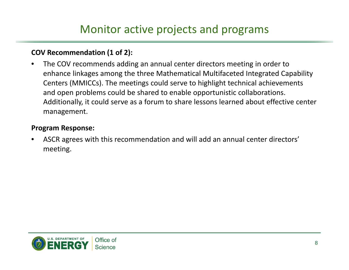### Monitor active projects and programs

### **COV Recommendation (1 of 2):**

• The COV recommends adding an annual center directors meeting in order to enhance linkages among the three Mathematical Multifaceted Integrated Capability Centers (MMICCs). The meetings could serve to highlight technical achievements and open problems could be shared to enable opportunistic collaborations. Additionally, it could serve as <sup>a</sup> forum to share lessons learned about effective center management.

### **Program Response:**

• ASCR agrees with this recommendation and will add an annual center directors' meeting.

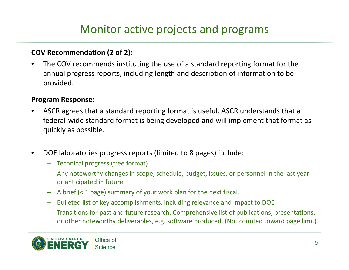### Monitor active projects and programs

### **COV Recommendation (2 of 2):**

• The COV recommends instituting the use of <sup>a</sup> standard reporting format for the annual progress reports, including length and description of information to be provided.

### **Program Response:**

- ASCR agrees that <sup>a</sup> standard reporting format is useful. ASCR understands that <sup>a</sup> federal‐wide standard format is being developed and will implement that format as quickly as possible.
- DOE laboratories progress reports (limited to 8 pages) include:
	- Technical progress (free format)
	- Any noteworthy changes in scope, schedule, budget, issues, or personnel in the last year or anticipated in future.
	- A brief (< 1 page) summary of your work plan for the next fiscal.
	- Bulleted list of key accomplishments, including relevance and impact to DOE
	- Transitions for past and future research. Comprehensive list of publications, presentations, or other noteworthy deliverables, e.g. software produced. (Not counted toward page limit)

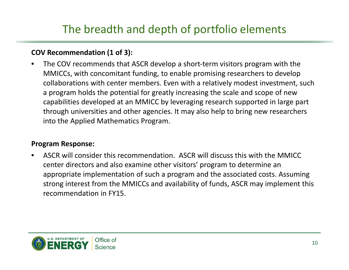## The breadth and depth of portfolio elements

### **COV Recommendation (1 of 3):**

• The COV recommends that ASCR develop <sup>a</sup> short‐term visitors program with the MMICCs, with concomitant funding, to enable promising researchers to develop collaborations with center members. Even with <sup>a</sup> relatively modest investment, such a program holds the potential for greatly increasing the scale and scope of new capabilities developed at an MMICC by leveraging research supported in large part through universities and other agencies. It may also help to bring new researchers into the Applied Mathematics Program.

### **Program Response:**

• ASCR will consider this recommendation. ASCR will discuss this with the MMICC center directors and also examine other visitors' program to determine an appropriate implementation of such <sup>a</sup> program and the associated costs. Assuming strong interest from the MMICCs and availability of funds, ASCR may implement this recommendation in FY15.

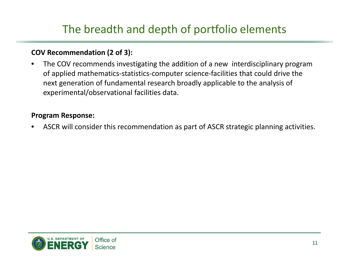## The breadth and depth of portfolio elements

### **COV Recommendation (2 of 3):**

• The COV recommends investigating the addition of <sup>a</sup> new interdisciplinary program of applied mathematics‐statistics‐computer science‐facilities that could drive the next generation of fundamental research broadly applicable to the analysis of experimental/observational facilities data.

### **Program Response:**

• ASCR will consider this recommendation as part of ASCR strategic planning activities.

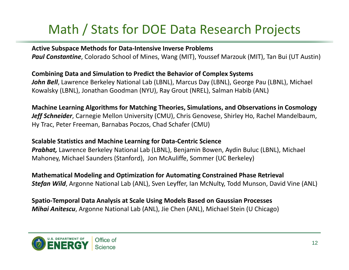# Math / Stats for DOE Data Research Projects

**Active Subspace Methods for Data‐Intensive Inverse Problems** *Paul Constantine*, Colorado School of Mines, Wang (MIT), Youssef Marzouk (MIT), Tan Bui (UT Austin)

**Combining Data and Simulation to Predict the Behavior of Complex Systems** *John Bell*, Lawrence Berkeley National Lab (LBNL), Marcus Day (LBNL), George Pau (LBNL), Michael Kowalsky (LBNL), Jonathan Goodman (NYU), Ray Grout (NREL), Salman Habib (ANL)

**Machine Learning Algorithms for Matching Theories, Simulations, and Observations in Cosmology** *Jeff Schneider*, Carnegie Mellon University (CMU), Chris Genovese, Shirley Ho, Rachel Mandelbaum, Hy Trac, Peter Freeman, Barnabas Poczos, Chad Schafer (CMU)

### **Scalable Statistics and Machine Learning for Data‐Centric Science**

*Prabhat,* Lawrence Berkeley National Lab (LBNL), Benjamin Bowen, Aydin Buluc (LBNL), Michael Mahoney, Michael Saunders (Stanford), Jon McAuliffe, Sommer (UC Berkeley)

**Mathematical Modeling and Optimization for Automating Constrained Phase Retrieval** *Stefan Wild*, Argonne National Lab (ANL), Sven Leyffer, Ian McNulty, Todd Munson, David Vine (ANL)

**Spatio‐Temporal Data Analysis at Scale Using Models Based on Gaussian Processes** *Mihai Anitescu*, Argonne National Lab (ANL), Jie Chen (ANL), Michael Stein (U Chicago)

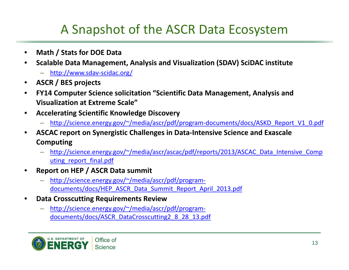## A Snapshot of the ASCR Data Ecosystem

- **Math / Stats for DOE Data**
- **Scalable Data Management, Analysis and Visualization (SDAV) SciDAC institute**
	- [http://www.sdav](http://www.sdav-scidac.org)‐scidac.org/
- **ASCR / BES projects**
- **FY14 Computer Science solicitation "Scientific Data Management, Analysis and Visualization at Extreme Scale"**
- **Accelerating Scientific Knowledge Discovery**
	- [http://science.energy.gov/~/media/ascr/pdf/program](http://science.energy.gov/~/media/ascr/pdf/program-documents/docs/ASKD_Report_V1_0.pdf)-documents/docs/ASKD Report V1 0.pdf
- **ASCAC report on Synergistic Challenges in Data‐Intensive Science and Exascale Computing**
	- [http://science.energy.gov/~/media/ascr/ascac/pdf/reports/2013/ASCAC\\_Data\\_Intensive\\_Comp](http://science.energy.gov/~/media/ascr/ascac/pdf/reports/2013/ASCAC_Data_Intensive_Comp) uting report final.pdf
- **Report on HEP / ASCR Data summit**
	- <http://science.energy.gov/~/media/ascr/pdf/program>‐ documents/docs/HEP\_ASCR\_Data\_Summit\_Report\_April\_2013.pdf
- **Data Crosscutting Requirements Review**
	- <http://science.energy.gov/~/media/ascr/pdf/program>documents/docs/ASCR\_DataCrosscutting2\_8\_28\_13.pdf

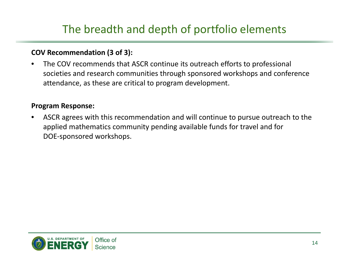## The breadth and depth of portfolio elements

### **COV Recommendation (3 of 3):**

• The COV recommends that ASCR continue its outreach efforts to professional societies and research communities through sponsored workshops and conference attendance, as these are critical to program development.

### **Program Response:**

• ASCR agrees with this recommendation and will continue to pursue outreach to the applied mathematics community pending available funds for travel and for DOE‐sponsored workshops.

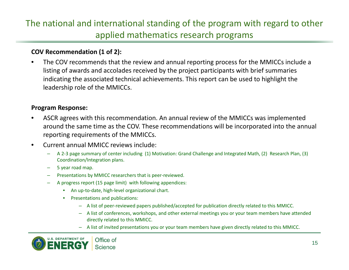### The national and international standing of the program with regard to other applied mathematics research programs

#### **COV Recommendation (1 of 2):**

• The COV recommends that the review and annual reporting process for the MMICCs include <sup>a</sup> listing of awards and accolades received by the project participants with brief summaries indicating the associated technical achievements. This report can be used to highlight the leadership role of the MMICCs.

#### **Program Response:**

- ASCR agrees with this recommendation. An annual review of the MMICCs was implemented around the same time as the COV. These recommendations will be incorporated into the annual reporting requirements of the MMICCs.
- Current annual MMICC reviews include:
	- A 2‐3 page summary of center including (1) Motivation: Grand Challenge and Integrated Math, (2) Research Plan, (3) Coordination/Integration plans.
	- 5 year road map.
	- Presentations by MMICC researchers that is peer‐reviewed.
	- A progress report (15 page limit) with following appendices:
		- An up‐to‐date, high‐level organizational chart.
		- Presentations and publications:
			- A list of peer‐reviewed papers published/accepted for publication directly related to this MMICC.
			- A list of conferences, workshops, and other external meetings you or your team members have attended directly related to this MMICC.
			- A list of invited presentations you or your team members have given directly related to this MMICC.